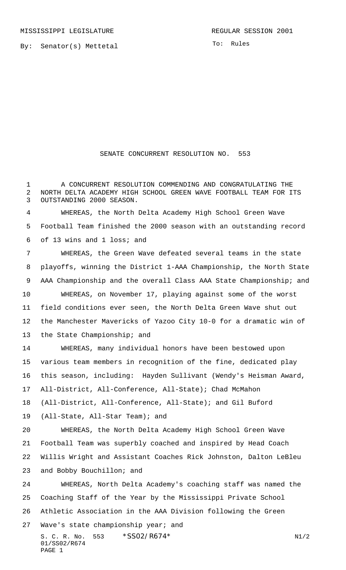By: Senator(s) Mettetal

To: Rules

## SENATE CONCURRENT RESOLUTION NO. 553

 A CONCURRENT RESOLUTION COMMENDING AND CONGRATULATING THE NORTH DELTA ACADEMY HIGH SCHOOL GREEN WAVE FOOTBALL TEAM FOR ITS OUTSTANDING 2000 SEASON.

 WHEREAS, the North Delta Academy High School Green Wave Football Team finished the 2000 season with an outstanding record of 13 wins and 1 loss; and

 WHEREAS, the Green Wave defeated several teams in the state playoffs, winning the District 1-AAA Championship, the North State AAA Championship and the overall Class AAA State Championship; and WHEREAS, on November 17, playing against some of the worst field conditions ever seen, the North Delta Green Wave shut out the Manchester Mavericks of Yazoo City 10-0 for a dramatic win of the State Championship; and WHEREAS, many individual honors have been bestowed upon various team members in recognition of the fine, dedicated play this season, including: Hayden Sullivant (Wendy's Heisman Award, All-District, All-Conference, All-State); Chad McMahon (All-District, All-Conference, All-State); and Gil Buford (All-State, All-Star Team); and WHEREAS, the North Delta Academy High School Green Wave Football Team was superbly coached and inspired by Head Coach

 Willis Wright and Assistant Coaches Rick Johnston, Dalton LeBleu and Bobby Bouchillon; and

 WHEREAS, North Delta Academy's coaching staff was named the Coaching Staff of the Year by the Mississippi Private School Athletic Association in the AAA Division following the Green

S. C. R. No. \*SS02/R674\* N1/2 01/SS02/R674 PAGE 1

Wave's state championship year; and